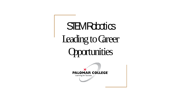**STEM Robotics** Leading to Career **Opportunities** 

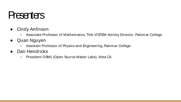#### **Presenters**

- Cindy Anfinson
	- Associate Professor of Mathematics, Title V/STEM Activity Director, Palomar College
- Quan Nguyen
	- Assistant Professor of Physics and Engineering, Palomar College
- Dan Hendricks
	- President OSML (Open Source Maker Labs), Vista CA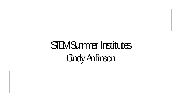# STEM Summer Institutes Cindy Anfinson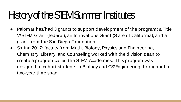## Hatary of the STEM Summer Institutes

- Palomar has/had 3 grants to support development of the program: a Title V/STEM Grant (federal), an Innovations Grant (State of California), and a grant from the San Diego Foundation
- Spring 2017: faculty from Math, Biology, Physics and Engineering, Chemistry, Library, and Counseling worked with the division dean to create a program called the STEM Academies. This program was designed to cohort students in Biology and CS/Engineering throughout a two-year time span.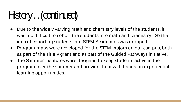# Hstory … (continued)

- Due to the widely varying math and chemistry levels of the students, it was too difficult to cohort the students into math and chemistry. So the idea of cohorting students into STEM Academies was dropped.
- Program maps were developed for the STEM majors on our campus, both as part of the Title V grant and as part of the Guided Pathways initiative.
- The Summer Institutes were designed to keep students active in the program over the summer and provide them with hands-on experiential learning opportunities.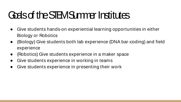### Goals of the STEM Summer Institutes

- Give students hands-on experiential learning opportunities in either Biology or Robotics
- (Biology) Give students both lab experience (DNA bar-coding) and field experience
- (Robotics) Give students experience in a maker space
- Give students experience in working in teams
- Give students experience in presenting their work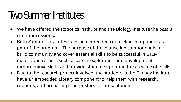#### **Two Summer Institutes**

- We have offered the Robotics Institute and the Biology Institute the past 3 summer sessions.
- Both Summer Institutes have an embedded counseling component as part of the program. The purpose of the counseling component is to build community and cover essential skills to be successful in STEM majors and careers such as career exploration and development, metacognitive skills, and provide student support in the area of soft skills.
- Due to the research project involved, the students in the Biology Institute have an embedded Library component to help them with research, citations, and preparing their posters for presentation.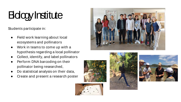# **Bdogy Institute**

Students participate in:

- Field work learning about local ecosystems and pollinators
- Work in teams to come up with a hypothesis regarding a local pollinator
- Collect, identify, and label pollinators
- Perform DNA barcoding on their pollinator being researched,
- Do statistical analysis on their data,
- Create and present a research poster









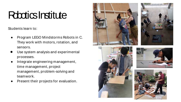#### **Robotics Institute**

Students learn to:

- Program LEGO Mindstorms Robots in C. They work with motors, rotation, and sensors.
- Use system analysis and experimental processes.
- Integrate engineering management, time management, project management, problem-solving and teamwork.
- Present their projects for evaluation.







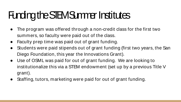# Funding the STEM Summer Institutes

- The program was offered through a non-credit class for the first two summers, so faculty were paid out of the class.
- Faculty prep time was paid out of grant funding.
- Students were paid stipends out of grant funding (first two years, the San Diego Foundation, this year the Innovations Grant).
- Use of OSML was paid for out of grant funding. We are looking to institutionalize this via a STEM endowment (set up by a previous Title V grant).
- Staffing, tutors, marketing were paid for out of grant funding.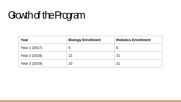# Gowth of the Program

| Year          | <b>Biology Enrollment</b> | <b>Robotics Enrollment</b> |
|---------------|---------------------------|----------------------------|
| Year 1 (2017) | 5                         | 6                          |
| Year 2 (2018) | 12                        | 21                         |
| Year 3 (2019) | 10                        | 21                         |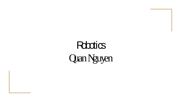# **Robotics** Quan Nguyen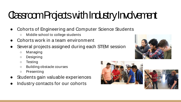# Classroom Projects with Industry Involvement

- Cohorts of Engineering and Computer Science Students
	- Middle school to college students
- Cohorts work in a team environment
- Several projects assigned during each STEM session
	- Managing
	- Designing
	- Testing
	- Building obstacle courses
	- Presenting
- Students gain valuable experiences
- Industry contacts for our cohorts





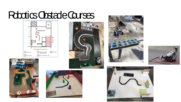#### Robotics Obstacle Courses













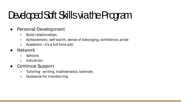# Developed Soft Skills via the Program

- Personal Development
	- Build relationships
	- Achievement, self-worth, sense of belonging, confidence, pride
	- Academic it's a full time job!
- Network
	- Schools
	- Industries

#### ● Continue Support

- Tutoring writing, mathematics, sciences
- Guidance for transferring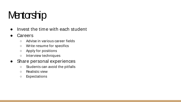### **Mentorship**

• Invest the time with each student

#### **Careers**

- Advise in various career fields
- Write resume for specifics
- Apply for positions
- Interview techniques

#### • Share personal experiences

- Students can avoid the pitfalls
- Realistic view
- Expectations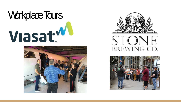





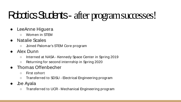# Robotics Students - after program successes!

- LeeAnne Higuera
	- Women in STEM
- Natalie Scales
	- Joined Palomar's STEM Core program
- Alex Dunn
	- Interned at NASA Kennedy Space Center in Spring 2019
	- Returning for second internship in Spring 2020
- Thomas Offenbecher
	- First cohort
	- Transferred to SDSU Electrical Engineering program
- **Joe Ayala** 
	- Transferred to UCR Mechanical Engineering program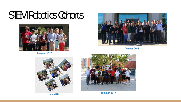#### STEM Robotics Cohorts



Summer 2017



Winter 2018



Summer 2018



Summer 2019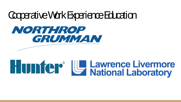#### Cooperative Work Experience Education



# **Hunter U Lawrence Livermore**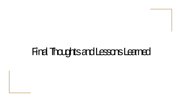#### Final Thoughts and Lessons Learned